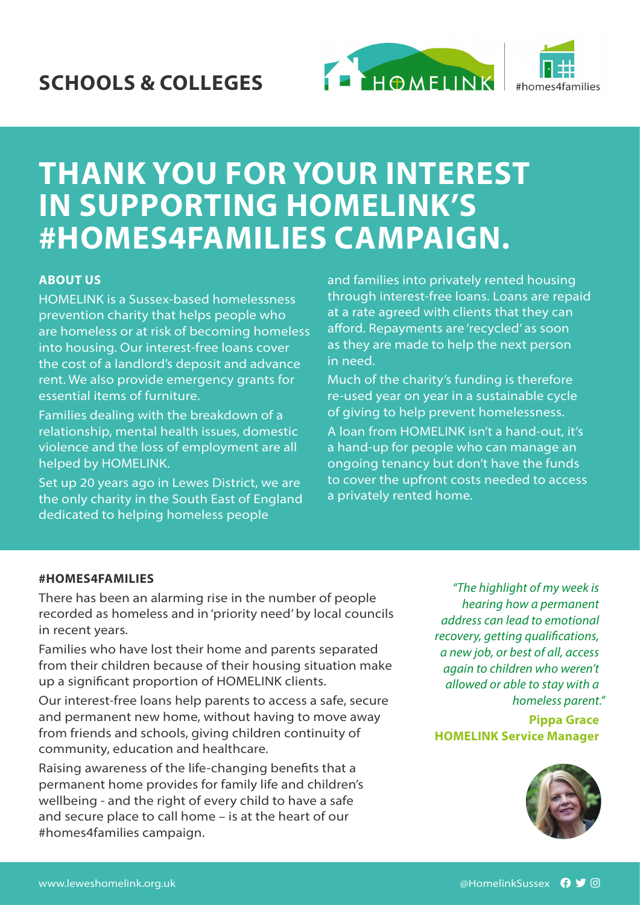



# **THANK YOU FOR YOUR INTEREST IN SUPPORTING HOMELINK'S #HOMES4FAMILIES CAMPAIGN.**

#### **ABOUT US**

HOMELINK is a Sussex-based homelessness prevention charity that helps people who are homeless or at risk of becoming homeless into housing. Our interest-free loans cover the cost of a landlord's deposit and advance rent. We also provide emergency grants for essential items of furniture.

Families dealing with the breakdown of a relationship, mental health issues, domestic violence and the loss of employment are all helped by HOMELINK.

Set up 20 years ago in Lewes District, we are the only charity in the South East of England dedicated to helping homeless people

and families into privately rented housing through interest-free loans. Loans are repaid at a rate agreed with clients that they can afford. Repayments are 'recycled' as soon as they are made to help the next person in need.

Much of the charity's funding is therefore re-used year on year in a sustainable cycle of giving to help prevent homelessness.

A loan from HOMELINK isn't a hand-out, it's a hand-up for people who can manage an ongoing tenancy but don't have the funds to cover the upfront costs needed to access a privately rented home.

#### **#HOMES4FAMILIES**

There has been an alarming rise in the number of people recorded as homeless and in 'priority need' by local councils in recent years.

Families who have lost their home and parents separated from their children because of their housing situation make up a significant proportion of HOMELINK clients.

Our interest-free loans help parents to access a safe, secure and permanent new home, without having to move away from friends and schools, giving children continuity of community, education and healthcare.

Raising awareness of the life-changing benefits that a permanent home provides for family life and children's wellbeing - and the right of every child to have a safe and secure place to call home – is at the heart of our #homes4families campaign.

*"The highlight of my week is hearing how a permanent address can lead to emotional recovery, getting qualifications, a new job, or best of all, access again to children who weren't allowed or able to stay with a homeless parent."*

**Pippa Grace HOMELINK Service Manager**